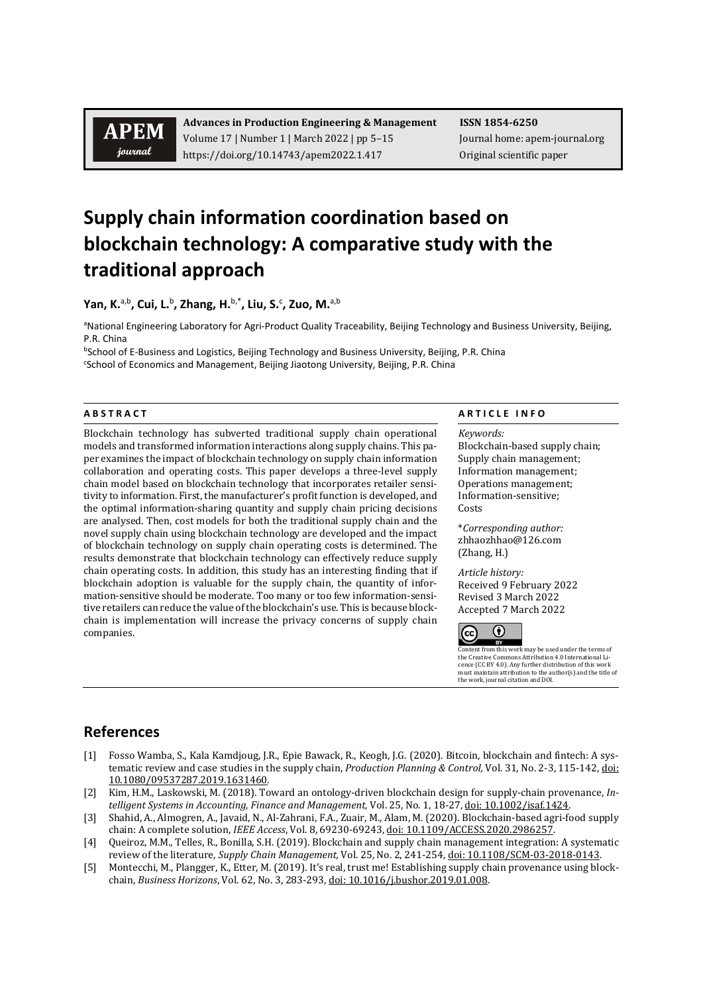# **APEM** journal

**Advances in Production Engineering & Management ISSN 1854-6250** Volume 17 | Number 1 | March 2022 | pp 5–15 Journal home: apem-journal.org https://doi.org/10.14743/apem2022.1.417 Original scientific paper

# **Supply chain information coordination based on blockchain technology: A comparative study with the traditional approach**

**Yan, K.**a,b**, Cui, L.**<sup>b</sup> **, Zhang, H.**b,\***, Liu, S.**<sup>c</sup> **, Zuo, M.**a,b

<sup>a</sup>National Engineering Laboratory for Agri-Product Quality Traceability, Beijing Technology and Business University, Beijing, P.R. China

bSchool of E-Business and Logistics, Beijing Technology and Business University, Beijing, P.R. China c School of Economics and Management, Beijing Jiaotong University, Beijing, P.R. China

Blockchain technology has subverted traditional supply chain operational models and transformed information interactions along supply chains. This paper examines the impact of blockchain technology on supply chain information collaboration and operating costs. This paper develops a three-level supply chain model based on blockchain technology that incorporates retailer sensitivity to information. First, the manufacturer's profit function is developed, and the optimal information-sharing quantity and supply chain pricing decisions are analysed. Then, cost models for both the traditional supply chain and the novel supply chain using blockchain technology are developed and the impact of blockchain technology on supply chain operating costs is determined. The results demonstrate that blockchain technology can effectively reduce supply chain operating costs. In addition, this study has an interesting finding that if blockchain adoption is valuable for the supply chain, the quantity of information-sensitive should be moderate. Too many or too few information-sensitive retailers can reduce the value of the blockchain's use. This is because blockchain is implementation will increase the privacy concerns of supply chain companies.

### **A B S T R A C T A R T I C L E I N F O**

*Keywords:* Blockchain-based supply chain; Supply chain management;

Information management; Operations management; Information-sensitive; Costs

\**Corresponding author:* zhhaozhhao@126.com (Zhang, H.)

*Article history:*  Received 9 February 2022 Revised 3 March 2022 Accepted 7 March 2022



Content from this work may be used under the terms of<br>the Creative Commons Attribution 4.0 International Lithe Creative Commons Attribution 4.0 International Li-cence (CC BY 4.0). Any further distribution of this work must maintain attribution to the author(s) and the title of the work, journal citation and DOI.

## **References**

- [1] Fosso Wamba, S., Kala Kamdjoug, J.R., Epie Bawack, R., Keogh, J.G. (2020). Bitcoin, blockchain and fintech: A systematic review and case studies in the supply chain, *Production Planning & Control,* Vol. 31, No. 2-3, 115-142, [doi:](https://doi.org/10.1080/09537287.2019.1631460)  [10.1080/09537287.2019.1631460.](https://doi.org/10.1080/09537287.2019.1631460)
- [2] Kim, H.M., Laskowski, M. (2018). Toward an ontology-driven blockchain design for supply-chain provenance, *Intelligent Systems in Accounting, Finance and Management,* Vol. 25, No. 1, 18-27[, doi: 10.1002/isaf.1424.](https://doi.org/10.1002/isaf.1424)
- [3] Shahid, A., Almogren, A., Javaid, N., Al-Zahrani, F.A., Zuair, M., Alam, M. (2020). Blockchain-based agri-food supply chain: A complete solution, *IEEE Access*, Vol. 8, 69230-69243[, doi: 10.1109/ACCESS.2020.2986257.](https://doi.org/10.1109/ACCESS.2020.2986257)
- [4] Queiroz, M.M., Telles, R., Bonilla, S.H. (2019). Blockchain and supply chain management integration: A systematic review of the literature, *Supply Chain Management,* Vol. 25, No. 2, 241-254[, doi: 10.1108/SCM-03-2018-0143.](https://doi.org/10.1108/SCM-03-2018-0143)
- [5] Montecchi, M., Plangger, K., Etter, M. (2019). It's real, trust me! Establishing supply chain provenance using blockchain, *Business Horizons*, Vol. 62, No. 3, 283-293[, doi: 10.1016/j.bushor.2019.01.008.](https://doi.org/10.1016/j.bushor.2019.01.008)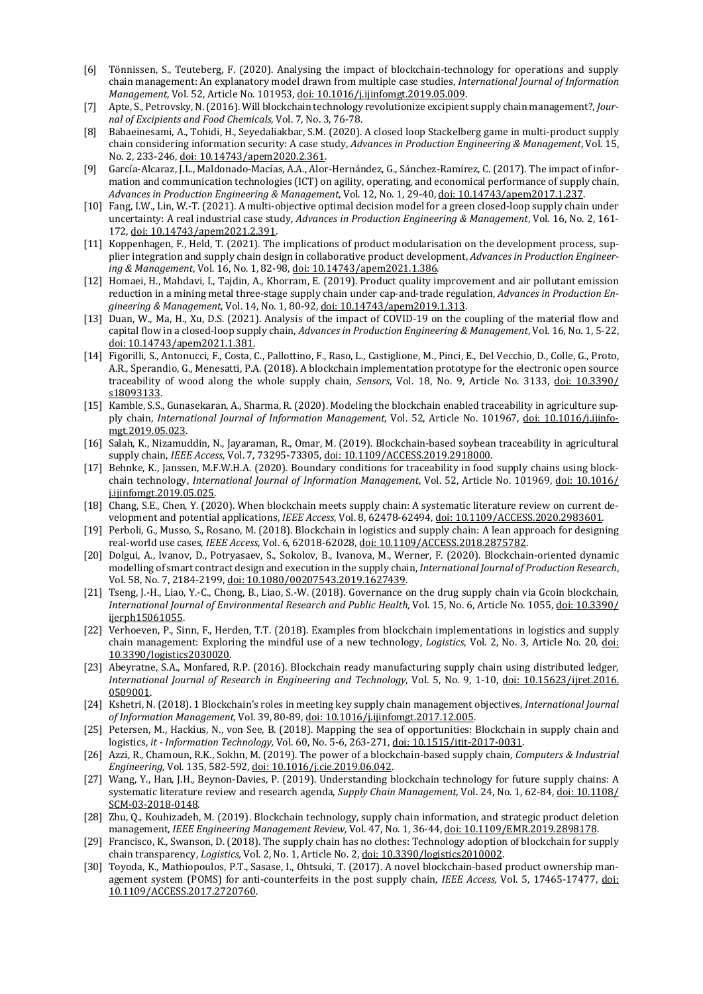- [6] Tönnissen, S., Teuteberg, F. (2020). Analysing the impact of blockchain-technology for operations and supply chain management: An explanatory model drawn from multiple case studies, *International Journal of Information Management*, Vol. 52, Article No. 101953, [doi: 10.1016/j.ijinfomgt.2019.05.009.](https://doi.org/10.1016/j.ijinfomgt.2019.05.009)
- [7] Apte, S., Petrovsky, N. (2016). Will blockchain technology revolutionize excipient supply chain management?, *Journal of Excipients and Food Chemicals*, Vol. 7, No. 3, 76-78.
- [8] Babaeinesami, A., Tohidi, H., Seyedaliakbar, S.M. (2020). A closed loop Stackelberg game in multi-product supply chain considering information security: A case study, *Advances in Production Engineering & Management*, Vol. 15, No. 2, 233-246[, doi: 10.14743/apem2020.2.361.](https://doi.org/10.14743/apem2020.2.361)
- [9] García-Alcaraz, J.L., Maldonado-Macías, A.A., Alor-Hernández, G., Sánchez-Ramírez, C. (2017). The impact of information and communication technologies (ICT) on agility, operating, and economical performance of supply chain, *Advances in Production Engineering & Management*, Vol. 12, No. 1, 29-40[, doi: 10.14743/apem2017.1.237.](https://doi.org/10.14743/apem2017.1.237)
- [10] Fang, I.W., Lin, W.-T. (2021). A multi-objective optimal decision model for a green closed-loop supply chain under uncertainty: A real industrial case study, *Advances in Production Engineering & Management*, Vol. 16, No. 2, 161- 172, [doi: 10.14743/apem2021.2.391.](https://doi.org/10.14743/apem2021.2.391)
- [11] Koppenhagen, F., Held, T. (2021). The implications of product modularisation on the development process, supplier integration and supply chain design in collaborative product development, *Advances in Production Engineering & Management*, Vol. 16, No. 1, 82-98, [doi: 10.14743/apem2021.1.386.](https://doi.org/10.14743/apem2021.1.386)
- [12] Homaei, H., Mahdavi, I., Tajdin, A., Khorram, E. (2019). Product quality improvement and air pollutant emission reduction in a mining metal three-stage supply chain under cap-and-trade regulation, *Advances in Production Engineering & Management*, Vol. 14, No. 1, 80-92[, doi: 10.14743/apem2019.1.313.](https://doi.org/10.14743/apem2019.1.313)
- [13] Duan, W., Ma, H., Xu, D.S. (2021). Analysis of the impact of COVID-19 on the coupling of the material flow and capital flow in a closed-loop supply chain, *Advances in Production Engineering & Management*, Vol. 16, No. 1, 5-22, [doi: 10.14743/apem2021.1.381.](https://doi.org/10.14743/apem2021.1.381)
- [14] Figorilli, S., Antonucci, F., Costa, C., Pallottino, F., Raso, L., Castiglione, M., Pinci, E., Del Vecchio, D., Colle, G., Proto, A.R., Sperandio, G., Menesatti, P.A. (2018). A blockchain implementation prototype for the electronic open source traceability of wood along the whole supply chain, *Sensors*, Vol. 18, No. 9, Article No. 3133, [doi: 10.3390/](https://doi.org/10.3390/s18093133) [s18093133.](https://doi.org/10.3390/s18093133)
- [15] Kamble, S.S., Gunasekaran, A., Sharma, R. (2020). Modeling the blockchain enabled traceability in agriculture supply chain, *International Journal of Information Management*, Vol. 52, Article No. 101967, [doi: 10.1016/j.ijinfo](https://doi.org/10.1016/j.ijinfomgt.2019.05.023)[mgt.2019.05.023.](https://doi.org/10.1016/j.ijinfomgt.2019.05.023)
- [16] Salah, K., Nizamuddin, N., Jayaraman, R., Omar, M. (2019). Blockchain-based soybean traceability in agricultural supply chain, *IEEE Access*, Vol. 7, 73295-73305[, doi: 10.1109/ACCESS.2019.2918000.](https://doi.org/10.1109/ACCESS.2019.2918000)
- [17] Behnke, K., Janssen, M.F.W.H.A. (2020). Boundary conditions for traceability in food supply chains using blockchain technology, *International Journal of Information Management*, Vol. 52, Article No. 101969, [doi: 10.1016/](https://doi.org/10.1016/j.ijinfomgt.2019.05.025) [j.ijinfomgt.2019.05.025.](https://doi.org/10.1016/j.ijinfomgt.2019.05.025)
- [18] Chang, S.E., Chen, Y. (2020). When blockchain meets supply chain: A systematic literature review on current development and potential applications, *IEEE Access*, Vol. 8, 62478-62494[, doi: 10.1109/ACCESS.2020.2983601.](https://doi.org/10.1109/ACCESS.2020.2983601)
- [19] Perboli, G., Musso, S., Rosano, M. (2018). Blockchain in logistics and supply chain: A lean approach for designing real-world use cases, *IEEE Access*, Vol. 6, 62018-62028[, doi: 10.1109/ACCESS.2018.2875782.](https://doi.org/10.1109/ACCESS.2018.2875782)
- [20] Dolgui, A., Ivanov, D., Potryasaev, S., Sokolov, B., Ivanova, M., Werner, F. (2020). Blockchain-oriented dynamic modelling of smart contract design and execution in the supply chain, *International Journal of Production Research*, Vol. 58, No. 7, 2184-2199[, doi: 10.1080/00207543.2019.1627439.](https://doi.org/10.1080/00207543.2019.1627439)
- [21] Tseng, J.-H., Liao, Y.-C., Chong, B., Liao, S.-W. (2018). Governance on the drug supply chain via Gcoin blockchain, *International Journal of Environmental Research and Public Health,* Vol. 15, No. 6, Article No. 1055[, doi: 10.3390/](https://doi.org/10.3390/ijerph15061055) [ijerph15061055.](https://doi.org/10.3390/ijerph15061055)
- [22] Verhoeven, P., Sinn, F., Herden, T.T. (2018). Examples from blockchain implementations in logistics and supply chain management: Exploring the mindful use of a new technology, *Logistics*, Vol. 2, No. 3, Article No. 20, [doi:](https://doi.org/10.3390/logistics2030020)  [10.3390/logistics2030020.](https://doi.org/10.3390/logistics2030020)
- [23] Abeyratne, S.A., Monfared, R.P. (2016). Blockchain ready manufacturing supply chain using distributed ledger, *International Journal of Research in Engineering and Technology*, Vol. 5, No. 9, 1-10, [doi: 10.15623/ijret.2016.](https://doi.org/10.15623/ijret.2016.0509001) [0509001.](https://doi.org/10.15623/ijret.2016.0509001)
- [24] Kshetri, N. (2018). 1 Blockchain's roles in meeting key supply chain management objectives, *International Journal of Information Management,* Vol. 39, 80-89[, doi: 10.1016/j.ijinfomgt.2017.12.005.](https://doi.org/10.1016/j.ijinfomgt.2017.12.005)
- [25] Petersen, M., Hackius, N., von See, B. (2018). Mapping the sea of opportunities: Blockchain in supply chain and logistics, *it - Information Technology,* Vol. 60, No. 5-6, 263-271[, doi: 10.1515/itit-2017-0031.](https://doi.org/10.1515/itit-2017-0031)
- [26] Azzi, R., Chamoun, R.K., Sokhn, M. (2019). The power of a blockchain-based supply chain, *Computers & Industrial Engineering,* Vol. 135, 582-592[, doi: 10.1016/j.cie.2019.06.042.](https://doi.org/10.1016/j.cie.2019.06.042)
- [27] Wang, Y., Han, J.H., Beynon-Davies, P. (2019). Understanding blockchain technology for future supply chains: A systematic literature review and research agenda, *Supply Chain Management,* Vol. 24, No. 1, 62-84[, doi: 10.1108/](https://doi.org/10.1108/SCM-03-2018-0148) [SCM-03-2018-0148.](https://doi.org/10.1108/SCM-03-2018-0148)
- [28] Zhu, Q., Kouhizadeh, M. (2019). Blockchain technology, supply chain information, and strategic product deletion management, *IEEE Engineering Management Review,* Vol. 47, No. 1, 36-44[, doi: 10.1109/EMR.2019.2898178.](https://doi.org/10.1109/EMR.2019.2898178)
- [29] Francisco, K., Swanson, D. (2018). The supply chain has no clothes: Technology adoption of blockchain for supply chain transparency, *Logistics,* Vol. 2, No. 1, Article No. 2[, doi: 10.3390/logistics2010002.](https://doi.org/10.3390/logistics2010002)
- [30] Toyoda, K., Mathiopoulos, P.T., Sasase, I., Ohtsuki, T. (2017). A novel blockchain-based product ownership management system (POMS) for anti-counterfeits in the post supply chain, *IEEE Access,* Vol. 5, 17465-17477, [doi:](https://doi.org/10.1109/ACCESS.2017.2720760) [10.1109/ACCESS.2017.2720760.](https://doi.org/10.1109/ACCESS.2017.2720760)